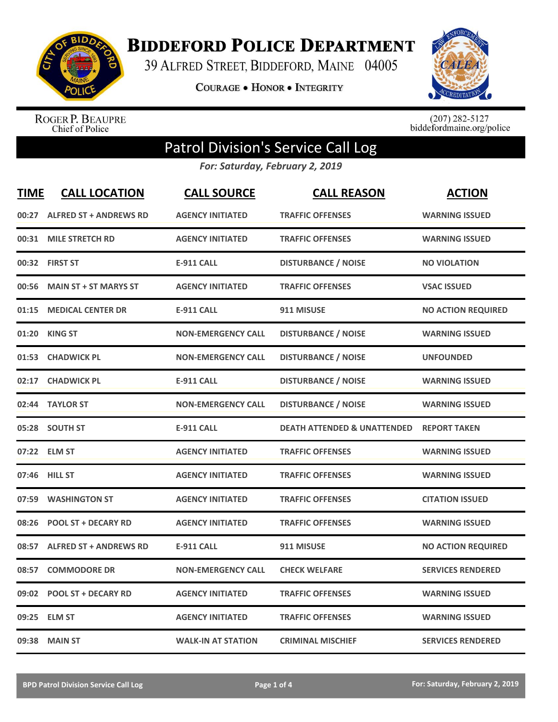

**BIDDEFORD POLICE DEPARTMENT** 

39 ALFRED STREET, BIDDEFORD, MAINE 04005

**COURAGE . HONOR . INTEGRITY** 



ROGER P. BEAUPRE<br>Chief of Police

 $(207)$  282-5127<br>biddefordmaine.org/police

## Patrol Division's Service Call Log

*For: Saturday, February 2, 2019*

| <b>TIME</b> | <b>CALL LOCATION</b>          | <b>CALL SOURCE</b>        | <b>CALL REASON</b>                     | <b>ACTION</b>             |
|-------------|-------------------------------|---------------------------|----------------------------------------|---------------------------|
| 00:27       | <b>ALFRED ST + ANDREWS RD</b> | <b>AGENCY INITIATED</b>   | <b>TRAFFIC OFFENSES</b>                | <b>WARNING ISSUED</b>     |
| 00:31       | <b>MILE STRETCH RD</b>        | <b>AGENCY INITIATED</b>   | <b>TRAFFIC OFFENSES</b>                | <b>WARNING ISSUED</b>     |
|             | 00:32 FIRST ST                | <b>E-911 CALL</b>         | <b>DISTURBANCE / NOISE</b>             | <b>NO VIOLATION</b>       |
| 00:56       | <b>MAIN ST + ST MARYS ST</b>  | <b>AGENCY INITIATED</b>   | <b>TRAFFIC OFFENSES</b>                | <b>VSAC ISSUED</b>        |
| 01:15       | <b>MEDICAL CENTER DR</b>      | <b>E-911 CALL</b>         | 911 MISUSE                             | <b>NO ACTION REQUIRED</b> |
| 01:20       | KING ST                       | <b>NON-EMERGENCY CALL</b> | <b>DISTURBANCE / NOISE</b>             | <b>WARNING ISSUED</b>     |
| 01:53       | <b>CHADWICK PL</b>            | <b>NON-EMERGENCY CALL</b> | <b>DISTURBANCE / NOISE</b>             | <b>UNFOUNDED</b>          |
| 02:17       | <b>CHADWICK PL</b>            | <b>E-911 CALL</b>         | <b>DISTURBANCE / NOISE</b>             | <b>WARNING ISSUED</b>     |
|             | 02:44 TAYLOR ST               | <b>NON-EMERGENCY CALL</b> | <b>DISTURBANCE / NOISE</b>             | <b>WARNING ISSUED</b>     |
|             | 05:28 SOUTH ST                | <b>E-911 CALL</b>         | <b>DEATH ATTENDED &amp; UNATTENDED</b> | <b>REPORT TAKEN</b>       |
|             | 07:22 ELM ST                  | <b>AGENCY INITIATED</b>   | <b>TRAFFIC OFFENSES</b>                | <b>WARNING ISSUED</b>     |
|             | 07:46 HILL ST                 | <b>AGENCY INITIATED</b>   | <b>TRAFFIC OFFENSES</b>                | <b>WARNING ISSUED</b>     |
| 07:59       | <b>WASHINGTON ST</b>          | <b>AGENCY INITIATED</b>   | <b>TRAFFIC OFFENSES</b>                | <b>CITATION ISSUED</b>    |
| 08:26       | <b>POOL ST + DECARY RD</b>    | <b>AGENCY INITIATED</b>   | <b>TRAFFIC OFFENSES</b>                | <b>WARNING ISSUED</b>     |
| 08:57       | <b>ALFRED ST + ANDREWS RD</b> | <b>E-911 CALL</b>         | 911 MISUSE                             | <b>NO ACTION REQUIRED</b> |
| 08:57       | <b>COMMODORE DR</b>           | <b>NON-EMERGENCY CALL</b> | <b>CHECK WELFARE</b>                   | <b>SERVICES RENDERED</b>  |
| 09:02       | <b>POOL ST + DECARY RD</b>    | <b>AGENCY INITIATED</b>   | <b>TRAFFIC OFFENSES</b>                | <b>WARNING ISSUED</b>     |
| 09:25       | <b>ELM ST</b>                 | <b>AGENCY INITIATED</b>   | <b>TRAFFIC OFFENSES</b>                | <b>WARNING ISSUED</b>     |
|             | 09:38 MAIN ST                 | <b>WALK-IN AT STATION</b> | <b>CRIMINAL MISCHIEF</b>               | <b>SERVICES RENDERED</b>  |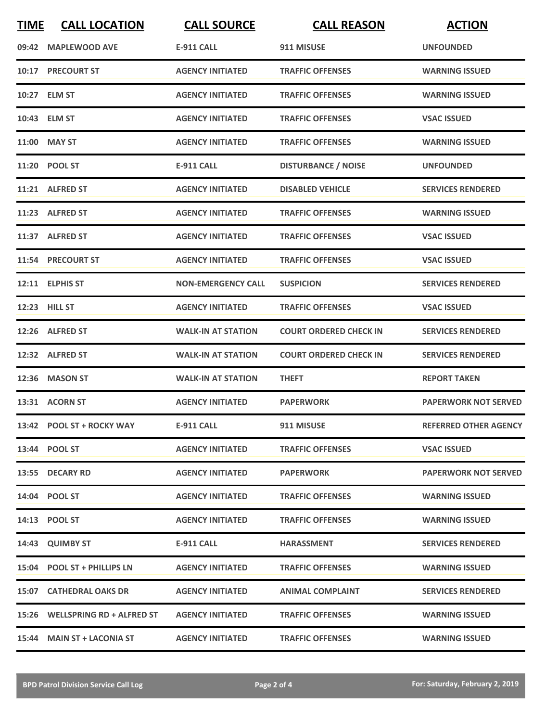| <b>TIME</b> | <b>CALL LOCATION</b>            | <b>CALL SOURCE</b>        | <b>CALL REASON</b>            | <b>ACTION</b>                |
|-------------|---------------------------------|---------------------------|-------------------------------|------------------------------|
|             | 09:42 MAPLEWOOD AVE             | <b>E-911 CALL</b>         | 911 MISUSE                    | <b>UNFOUNDED</b>             |
|             | <b>10:17 PRECOURT ST</b>        | <b>AGENCY INITIATED</b>   | <b>TRAFFIC OFFENSES</b>       | <b>WARNING ISSUED</b>        |
|             | 10:27 ELM ST                    | <b>AGENCY INITIATED</b>   | <b>TRAFFIC OFFENSES</b>       | <b>WARNING ISSUED</b>        |
|             | 10:43 ELM ST                    | <b>AGENCY INITIATED</b>   | <b>TRAFFIC OFFENSES</b>       | <b>VSAC ISSUED</b>           |
|             | 11:00 MAY ST                    | <b>AGENCY INITIATED</b>   | <b>TRAFFIC OFFENSES</b>       | <b>WARNING ISSUED</b>        |
|             | 11:20 POOL ST                   | <b>E-911 CALL</b>         | <b>DISTURBANCE / NOISE</b>    | <b>UNFOUNDED</b>             |
|             | 11:21 ALFRED ST                 | <b>AGENCY INITIATED</b>   | <b>DISABLED VEHICLE</b>       | <b>SERVICES RENDERED</b>     |
|             | 11:23 ALFRED ST                 | <b>AGENCY INITIATED</b>   | <b>TRAFFIC OFFENSES</b>       | <b>WARNING ISSUED</b>        |
|             | 11:37 ALFRED ST                 | <b>AGENCY INITIATED</b>   | <b>TRAFFIC OFFENSES</b>       | <b>VSAC ISSUED</b>           |
|             | 11:54 PRECOURT ST               | <b>AGENCY INITIATED</b>   | <b>TRAFFIC OFFENSES</b>       | <b>VSAC ISSUED</b>           |
|             | 12:11 ELPHIS ST                 | <b>NON-EMERGENCY CALL</b> | <b>SUSPICION</b>              | <b>SERVICES RENDERED</b>     |
|             | 12:23 HILL ST                   | <b>AGENCY INITIATED</b>   | <b>TRAFFIC OFFENSES</b>       | <b>VSAC ISSUED</b>           |
|             | 12:26 ALFRED ST                 | <b>WALK-IN AT STATION</b> | <b>COURT ORDERED CHECK IN</b> | <b>SERVICES RENDERED</b>     |
|             | 12:32 ALFRED ST                 | <b>WALK-IN AT STATION</b> | <b>COURT ORDERED CHECK IN</b> | <b>SERVICES RENDERED</b>     |
|             | 12:36 MASON ST                  | <b>WALK-IN AT STATION</b> | <b>THEFT</b>                  | <b>REPORT TAKEN</b>          |
|             | 13:31 ACORN ST                  | <b>AGENCY INITIATED</b>   | <b>PAPERWORK</b>              | <b>PAPERWORK NOT SERVED</b>  |
|             | 13:42 POOL ST + ROCKY WAY       | E-911 CALL                | 911 MISUSE                    | <b>REFERRED OTHER AGENCY</b> |
|             | 13:44 POOL ST                   | <b>AGENCY INITIATED</b>   | <b>TRAFFIC OFFENSES</b>       | <b>VSAC ISSUED</b>           |
|             | 13:55 DECARY RD                 | <b>AGENCY INITIATED</b>   | <b>PAPERWORK</b>              | <b>PAPERWORK NOT SERVED</b>  |
|             | 14:04 POOL ST                   | <b>AGENCY INITIATED</b>   | <b>TRAFFIC OFFENSES</b>       | <b>WARNING ISSUED</b>        |
|             | 14:13 POOL ST                   | <b>AGENCY INITIATED</b>   | <b>TRAFFIC OFFENSES</b>       | <b>WARNING ISSUED</b>        |
|             | 14:43 QUIMBY ST                 | E-911 CALL                | <b>HARASSMENT</b>             | <b>SERVICES RENDERED</b>     |
|             | 15:04 POOL ST + PHILLIPS LN     | <b>AGENCY INITIATED</b>   | <b>TRAFFIC OFFENSES</b>       | <b>WARNING ISSUED</b>        |
|             | 15:07 CATHEDRAL OAKS DR         | <b>AGENCY INITIATED</b>   | <b>ANIMAL COMPLAINT</b>       | <b>SERVICES RENDERED</b>     |
|             | 15:26 WELLSPRING RD + ALFRED ST | <b>AGENCY INITIATED</b>   | <b>TRAFFIC OFFENSES</b>       | <b>WARNING ISSUED</b>        |
|             | 15:44 MAIN ST + LACONIA ST      | <b>AGENCY INITIATED</b>   | <b>TRAFFIC OFFENSES</b>       | <b>WARNING ISSUED</b>        |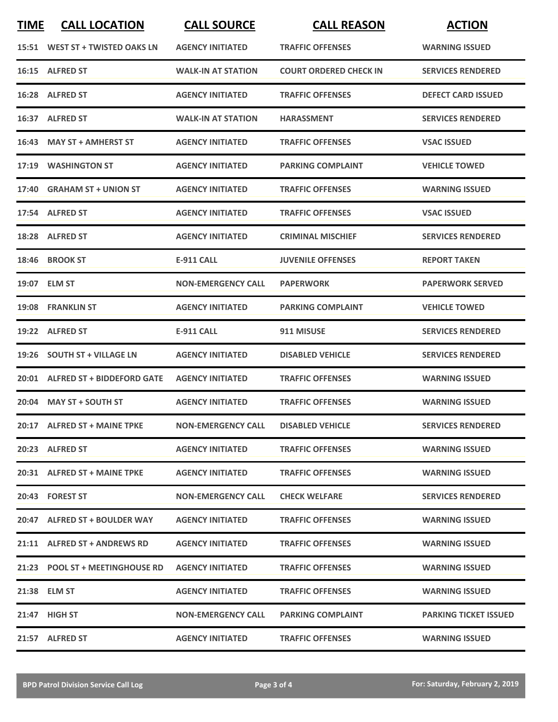| <b>TIME</b> | <b>CALL LOCATION</b>                                | <b>CALL SOURCE</b>        | <b>CALL REASON</b>            | <b>ACTION</b>                |
|-------------|-----------------------------------------------------|---------------------------|-------------------------------|------------------------------|
|             | 15:51 WEST ST + TWISTED OAKS LN                     | <b>AGENCY INITIATED</b>   | <b>TRAFFIC OFFENSES</b>       | <b>WARNING ISSUED</b>        |
|             | 16:15 ALFRED ST                                     | <b>WALK-IN AT STATION</b> | <b>COURT ORDERED CHECK IN</b> | <b>SERVICES RENDERED</b>     |
|             | 16:28 ALFRED ST                                     | <b>AGENCY INITIATED</b>   | <b>TRAFFIC OFFENSES</b>       | <b>DEFECT CARD ISSUED</b>    |
|             | 16:37 ALFRED ST                                     | <b>WALK-IN AT STATION</b> | <b>HARASSMENT</b>             | <b>SERVICES RENDERED</b>     |
|             | 16:43 MAY ST + AMHERST ST                           | <b>AGENCY INITIATED</b>   | <b>TRAFFIC OFFENSES</b>       | <b>VSAC ISSUED</b>           |
| 17:19       | <b>WASHINGTON ST</b>                                | <b>AGENCY INITIATED</b>   | <b>PARKING COMPLAINT</b>      | <b>VEHICLE TOWED</b>         |
|             | 17:40 GRAHAM ST + UNION ST                          | <b>AGENCY INITIATED</b>   | <b>TRAFFIC OFFENSES</b>       | <b>WARNING ISSUED</b>        |
|             | 17:54 ALFRED ST                                     | <b>AGENCY INITIATED</b>   | <b>TRAFFIC OFFENSES</b>       | <b>VSAC ISSUED</b>           |
|             | 18:28 ALFRED ST                                     | <b>AGENCY INITIATED</b>   | <b>CRIMINAL MISCHIEF</b>      | <b>SERVICES RENDERED</b>     |
|             | 18:46 BROOK ST                                      | <b>E-911 CALL</b>         | <b>JUVENILE OFFENSES</b>      | <b>REPORT TAKEN</b>          |
|             | 19:07 ELM ST                                        | <b>NON-EMERGENCY CALL</b> | <b>PAPERWORK</b>              | <b>PAPERWORK SERVED</b>      |
|             | 19:08 FRANKLIN ST                                   | <b>AGENCY INITIATED</b>   | <b>PARKING COMPLAINT</b>      | <b>VEHICLE TOWED</b>         |
|             | 19:22 ALFRED ST                                     | <b>E-911 CALL</b>         | 911 MISUSE                    | <b>SERVICES RENDERED</b>     |
|             | 19:26 SOUTH ST + VILLAGE LN                         | <b>AGENCY INITIATED</b>   | <b>DISABLED VEHICLE</b>       | <b>SERVICES RENDERED</b>     |
|             | 20:01 ALFRED ST + BIDDEFORD GATE                    | <b>AGENCY INITIATED</b>   | <b>TRAFFIC OFFENSES</b>       | <b>WARNING ISSUED</b>        |
|             | 20:04 MAY ST + SOUTH ST                             | <b>AGENCY INITIATED</b>   | <b>TRAFFIC OFFENSES</b>       | <b>WARNING ISSUED</b>        |
|             | 20:17 ALFRED ST + MAINE TPKE                        | <b>NON-EMERGENCY CALL</b> | <b>DISABLED VEHICLE</b>       | <b>SERVICES RENDERED</b>     |
|             | 20:23 ALFRED ST                                     | <b>AGENCY INITIATED</b>   | <b>TRAFFIC OFFENSES</b>       | <b>WARNING ISSUED</b>        |
|             | 20:31 ALFRED ST + MAINE TPKE                        | <b>AGENCY INITIATED</b>   | <b>TRAFFIC OFFENSES</b>       | <b>WARNING ISSUED</b>        |
|             | 20:43 FOREST ST                                     | <b>NON-EMERGENCY CALL</b> | <b>CHECK WELFARE</b>          | <b>SERVICES RENDERED</b>     |
|             | 20:47 ALFRED ST + BOULDER WAY                       | <b>AGENCY INITIATED</b>   | <b>TRAFFIC OFFENSES</b>       | <b>WARNING ISSUED</b>        |
|             | 21:11 ALFRED ST + ANDREWS RD                        | <b>AGENCY INITIATED</b>   | <b>TRAFFIC OFFENSES</b>       | <b>WARNING ISSUED</b>        |
|             | 21:23 POOL ST + MEETINGHOUSE RD    AGENCY INITIATED |                           | <b>TRAFFIC OFFENSES</b>       | <b>WARNING ISSUED</b>        |
|             | 21:38 ELM ST                                        | <b>AGENCY INITIATED</b>   | <b>TRAFFIC OFFENSES</b>       | <b>WARNING ISSUED</b>        |
|             | 21:47 HIGH ST                                       | <b>NON-EMERGENCY CALL</b> | <b>PARKING COMPLAINT</b>      | <b>PARKING TICKET ISSUED</b> |
|             | 21:57 ALFRED ST                                     | <b>AGENCY INITIATED</b>   | <b>TRAFFIC OFFENSES</b>       | <b>WARNING ISSUED</b>        |